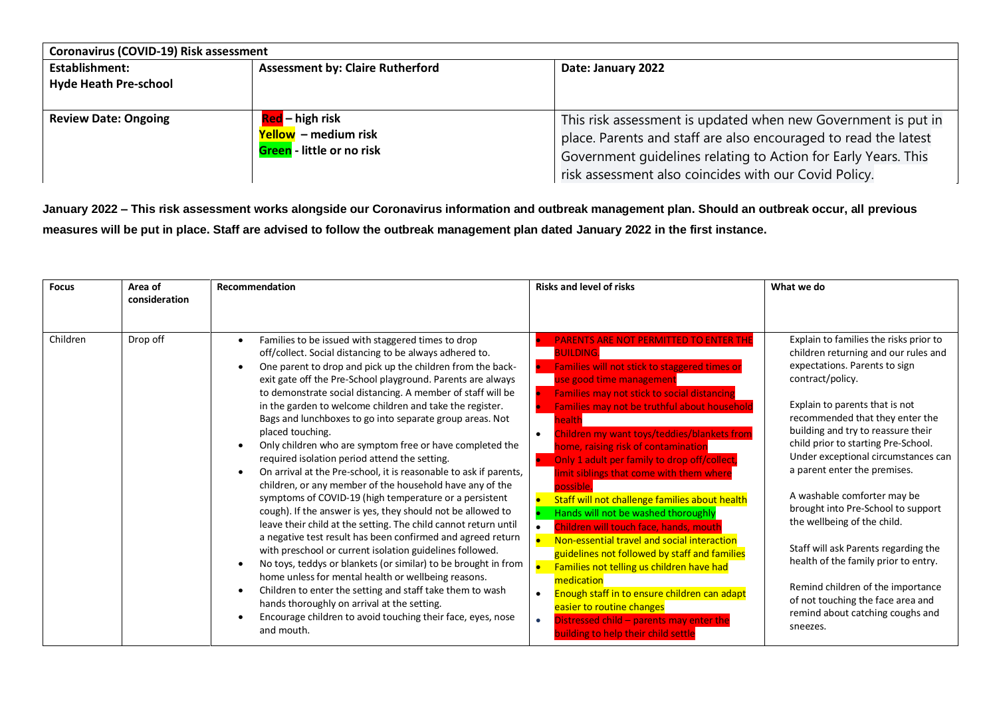| Coronavirus (COVID-19) Risk assessment                |                                                                             |                                                                                                                                                                                                                                                             |  |  |
|-------------------------------------------------------|-----------------------------------------------------------------------------|-------------------------------------------------------------------------------------------------------------------------------------------------------------------------------------------------------------------------------------------------------------|--|--|
| <b>Establishment:</b><br><b>Hyde Heath Pre-school</b> | <b>Assessment by: Claire Rutherford</b>                                     | Date: January 2022                                                                                                                                                                                                                                          |  |  |
| <b>Review Date: Ongoing</b>                           | Red – high risk<br>Yellow – medium risk<br><b>Green</b> - little or no risk | This risk assessment is updated when new Government is put in<br>place. Parents and staff are also encouraged to read the latest<br>Government quidelines relating to Action for Early Years. This<br>risk assessment also coincides with our Covid Policy. |  |  |

**January 2022 – This risk assessment works alongside our Coronavirus information and outbreak management plan. Should an outbreak occur, all previous measures will be put in place. Staff are advised to follow the outbreak management plan dated January 2022 in the first instance.** 

| <b>Focus</b> | Area of       | <b>Recommendation</b>                                                                                                                                                                                                                                                                                                                                                                                                                                                                                                                                                                                                                                                                                                                                                                                                                                                                                                                                                                                                                                                                                                                                                                                            | <b>Risks and level of risks</b>                                                                                                                                                                                                                                                                                                                                                                                                                                                                                                                                                                                                                                                                                                                                                                                                                          | What we do                                                                                                                                                                                                                                                                                                                                                                                                                                                                                                                                                                            |
|--------------|---------------|------------------------------------------------------------------------------------------------------------------------------------------------------------------------------------------------------------------------------------------------------------------------------------------------------------------------------------------------------------------------------------------------------------------------------------------------------------------------------------------------------------------------------------------------------------------------------------------------------------------------------------------------------------------------------------------------------------------------------------------------------------------------------------------------------------------------------------------------------------------------------------------------------------------------------------------------------------------------------------------------------------------------------------------------------------------------------------------------------------------------------------------------------------------------------------------------------------------|----------------------------------------------------------------------------------------------------------------------------------------------------------------------------------------------------------------------------------------------------------------------------------------------------------------------------------------------------------------------------------------------------------------------------------------------------------------------------------------------------------------------------------------------------------------------------------------------------------------------------------------------------------------------------------------------------------------------------------------------------------------------------------------------------------------------------------------------------------|---------------------------------------------------------------------------------------------------------------------------------------------------------------------------------------------------------------------------------------------------------------------------------------------------------------------------------------------------------------------------------------------------------------------------------------------------------------------------------------------------------------------------------------------------------------------------------------|
|              | consideration |                                                                                                                                                                                                                                                                                                                                                                                                                                                                                                                                                                                                                                                                                                                                                                                                                                                                                                                                                                                                                                                                                                                                                                                                                  |                                                                                                                                                                                                                                                                                                                                                                                                                                                                                                                                                                                                                                                                                                                                                                                                                                                          |                                                                                                                                                                                                                                                                                                                                                                                                                                                                                                                                                                                       |
|              |               |                                                                                                                                                                                                                                                                                                                                                                                                                                                                                                                                                                                                                                                                                                                                                                                                                                                                                                                                                                                                                                                                                                                                                                                                                  |                                                                                                                                                                                                                                                                                                                                                                                                                                                                                                                                                                                                                                                                                                                                                                                                                                                          |                                                                                                                                                                                                                                                                                                                                                                                                                                                                                                                                                                                       |
| Children     | Drop off      | Families to be issued with staggered times to drop<br>off/collect. Social distancing to be always adhered to.<br>One parent to drop and pick up the children from the back-<br>exit gate off the Pre-School playground. Parents are always<br>to demonstrate social distancing. A member of staff will be<br>in the garden to welcome children and take the register.<br>Bags and lunchboxes to go into separate group areas. Not<br>placed touching.<br>Only children who are symptom free or have completed the<br>required isolation period attend the setting.<br>On arrival at the Pre-school, it is reasonable to ask if parents,<br>children, or any member of the household have any of the<br>symptoms of COVID-19 (high temperature or a persistent<br>cough). If the answer is yes, they should not be allowed to<br>leave their child at the setting. The child cannot return until<br>a negative test result has been confirmed and agreed return<br>with preschool or current isolation guidelines followed.<br>No toys, teddys or blankets (or similar) to be brought in from<br>home unless for mental health or wellbeing reasons.<br>Children to enter the setting and staff take them to wash | <b>PARENTS ARE NOT PERMITTED TO ENTER THE</b><br><b>BUILDING.</b><br>Families will not stick to staggered times or<br>use good time management<br>Families may not stick to social distancing<br>Families may not be truthful about household<br>health<br>Children my want toys/teddies/blankets from<br>$\bullet$<br>home, raising risk of contamination<br>Only 1 adult per family to drop off/collect,<br>limit siblings that come with them where<br>possible.<br>Staff will not challenge families about health<br>$\bullet$<br>Hands will not be washed thoroughly<br>Children will touch face, hands, mouth<br>$\bullet$<br>Non-essential travel and social interaction<br>guidelines not followed by staff and families<br>Families not telling us children have had<br>medication<br>Enough staff in to ensure children can adapt<br>$\bullet$ | Explain to families the risks prior to<br>children returning and our rules and<br>expectations. Parents to sign<br>contract/policy.<br>Explain to parents that is not<br>recommended that they enter the<br>building and try to reassure their<br>child prior to starting Pre-School.<br>Under exceptional circumstances can<br>a parent enter the premises.<br>A washable comforter may be<br>brought into Pre-School to support<br>the wellbeing of the child.<br>Staff will ask Parents regarding the<br>health of the family prior to entry.<br>Remind children of the importance |
|              |               | hands thoroughly on arrival at the setting.<br>Encourage children to avoid touching their face, eyes, nose<br>and mouth.                                                                                                                                                                                                                                                                                                                                                                                                                                                                                                                                                                                                                                                                                                                                                                                                                                                                                                                                                                                                                                                                                         | easier to routine changes<br>Distressed child - parents may enter the<br>$\bullet$<br>building to help their child settle                                                                                                                                                                                                                                                                                                                                                                                                                                                                                                                                                                                                                                                                                                                                | of not touching the face area and<br>remind about catching coughs and<br>sneezes.                                                                                                                                                                                                                                                                                                                                                                                                                                                                                                     |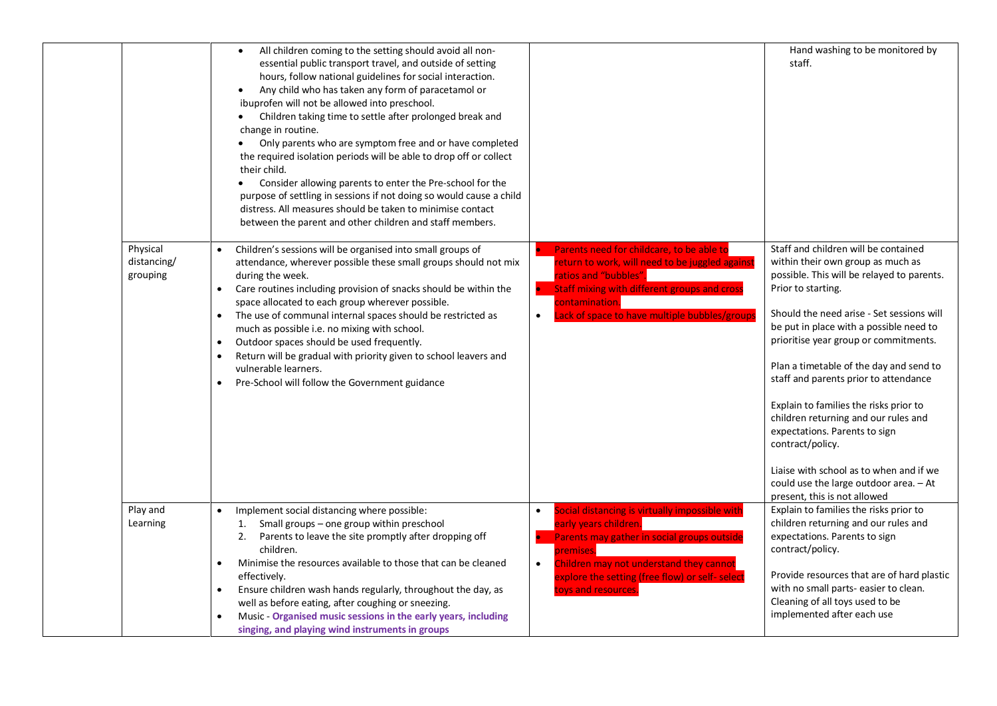|                                     | All children coming to the setting should avoid all non-<br>$\bullet$<br>essential public transport travel, and outside of setting<br>hours, follow national guidelines for social interaction.<br>Any child who has taken any form of paracetamol or<br>$\bullet$<br>ibuprofen will not be allowed into preschool.<br>Children taking time to settle after prolonged break and<br>change in routine.<br>Only parents who are symptom free and or have completed<br>the required isolation periods will be able to drop off or collect<br>their child.<br>Consider allowing parents to enter the Pre-school for the<br>$\bullet$<br>purpose of settling in sessions if not doing so would cause a child<br>distress. All measures should be taken to minimise contact<br>between the parent and other children and staff members. |                                                                                                                                                                                                                                                            | Hand washing to be monitored by<br>staff.                                                                                                                                                                                                                                                                                                                                                                                                                                                                                                                                                                                      |
|-------------------------------------|-----------------------------------------------------------------------------------------------------------------------------------------------------------------------------------------------------------------------------------------------------------------------------------------------------------------------------------------------------------------------------------------------------------------------------------------------------------------------------------------------------------------------------------------------------------------------------------------------------------------------------------------------------------------------------------------------------------------------------------------------------------------------------------------------------------------------------------|------------------------------------------------------------------------------------------------------------------------------------------------------------------------------------------------------------------------------------------------------------|--------------------------------------------------------------------------------------------------------------------------------------------------------------------------------------------------------------------------------------------------------------------------------------------------------------------------------------------------------------------------------------------------------------------------------------------------------------------------------------------------------------------------------------------------------------------------------------------------------------------------------|
| Physical<br>distancing/<br>grouping | Children's sessions will be organised into small groups of<br>$\bullet$<br>attendance, wherever possible these small groups should not mix<br>during the week.<br>Care routines including provision of snacks should be within the<br>$\bullet$<br>space allocated to each group wherever possible.<br>The use of communal internal spaces should be restricted as<br>$\bullet$<br>much as possible i.e. no mixing with school.<br>Outdoor spaces should be used frequently.<br>$\bullet$<br>Return will be gradual with priority given to school leavers and<br>$\bullet$<br>vulnerable learners.<br>Pre-School will follow the Government guidance<br>$\bullet$                                                                                                                                                                 | • Parents need for childcare, to be able to<br>return to work, will need to be juggled against<br>ratios and "bubbles".<br>• Staff mixing with different groups and cross<br>contamination.<br>Lack of space to have multiple bubbles/groups<br>$\bullet$  | Staff and children will be contained<br>within their own group as much as<br>possible. This will be relayed to parents.<br>Prior to starting.<br>Should the need arise - Set sessions will<br>be put in place with a possible need to<br>prioritise year group or commitments.<br>Plan a timetable of the day and send to<br>staff and parents prior to attendance<br>Explain to families the risks prior to<br>children returning and our rules and<br>expectations. Parents to sign<br>contract/policy.<br>Liaise with school as to when and if we<br>could use the large outdoor area. - At<br>present, this is not allowed |
| Play and<br>Learning                | Implement social distancing where possible:<br>Small groups - one group within preschool<br>1.<br>2. Parents to leave the site promptly after dropping off<br>children.<br>Minimise the resources available to those that can be cleaned<br>$\bullet$<br>effectively.<br>Ensure children wash hands regularly, throughout the day, as<br>$\bullet$<br>well as before eating, after coughing or sneezing.<br>Music - Organised music sessions in the early years, including<br>singing, and playing wind instruments in groups                                                                                                                                                                                                                                                                                                     | Social distancing is virtually impossible with<br>early years children.<br>• Parents may gather in social groups outside<br>premises.<br>Children may not understand they cannot<br>explore the setting (free flow) or self- select<br>toys and resources. | Explain to families the risks prior to<br>children returning and our rules and<br>expectations. Parents to sign<br>contract/policy.<br>Provide resources that are of hard plastic<br>with no small parts- easier to clean.<br>Cleaning of all toys used to be<br>implemented after each use                                                                                                                                                                                                                                                                                                                                    |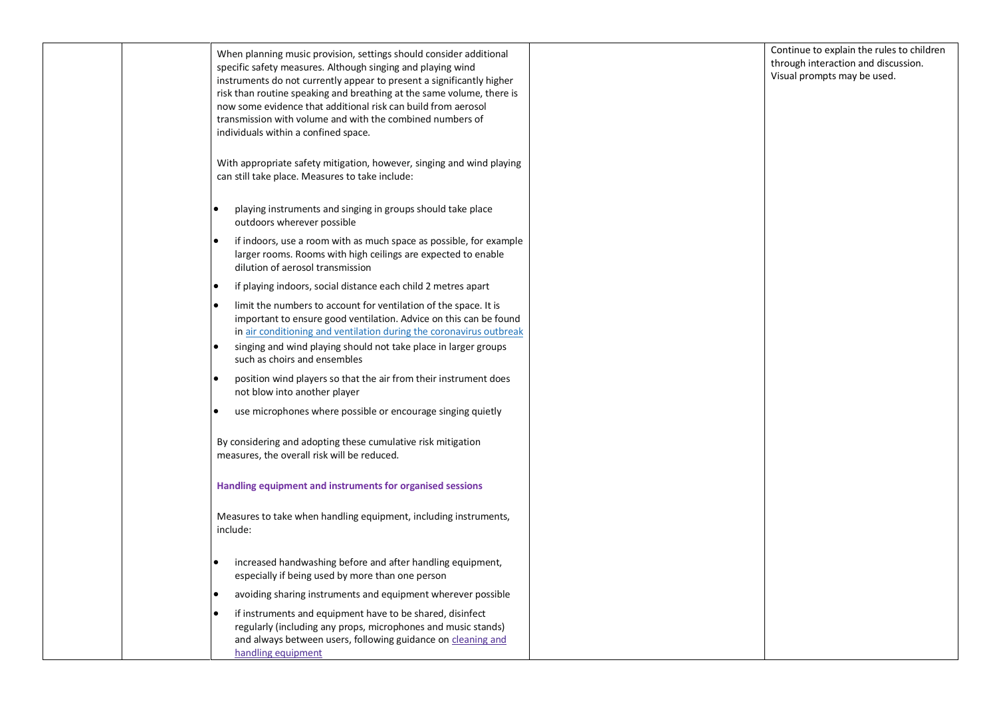| When planning music provision, settings should consider additional<br>specific safety measures. Although singing and playing wind<br>instruments do not currently appear to present a significantly higher<br>risk than routine speaking and breathing at the same volume, there is<br>now some evidence that additional risk can build from aerosol<br>transmission with volume and with the combined numbers of<br>individuals within a confined space. | Continue to explain the rules to children<br>through interaction and discussion.<br>Visual prompts may be used. |
|-----------------------------------------------------------------------------------------------------------------------------------------------------------------------------------------------------------------------------------------------------------------------------------------------------------------------------------------------------------------------------------------------------------------------------------------------------------|-----------------------------------------------------------------------------------------------------------------|
| With appropriate safety mitigation, however, singing and wind playing<br>can still take place. Measures to take include:                                                                                                                                                                                                                                                                                                                                  |                                                                                                                 |
| playing instruments and singing in groups should take place<br>outdoors wherever possible                                                                                                                                                                                                                                                                                                                                                                 |                                                                                                                 |
| if indoors, use a room with as much space as possible, for example<br>larger rooms. Rooms with high ceilings are expected to enable<br>dilution of aerosol transmission                                                                                                                                                                                                                                                                                   |                                                                                                                 |
| if playing indoors, social distance each child 2 metres apart                                                                                                                                                                                                                                                                                                                                                                                             |                                                                                                                 |
| limit the numbers to account for ventilation of the space. It is<br>important to ensure good ventilation. Advice on this can be found<br>in air conditioning and ventilation during the coronavirus outbreak<br>singing and wind playing should not take place in larger groups<br>such as choirs and ensembles                                                                                                                                           |                                                                                                                 |
| position wind players so that the air from their instrument does<br>not blow into another player                                                                                                                                                                                                                                                                                                                                                          |                                                                                                                 |
| use microphones where possible or encourage singing quietly                                                                                                                                                                                                                                                                                                                                                                                               |                                                                                                                 |
| By considering and adopting these cumulative risk mitigation<br>measures, the overall risk will be reduced.                                                                                                                                                                                                                                                                                                                                               |                                                                                                                 |
| Handling equipment and instruments for organised sessions                                                                                                                                                                                                                                                                                                                                                                                                 |                                                                                                                 |
| Measures to take when handling equipment, including instruments,<br>include:                                                                                                                                                                                                                                                                                                                                                                              |                                                                                                                 |
| increased handwashing before and after handling equipment,<br>especially if being used by more than one person                                                                                                                                                                                                                                                                                                                                            |                                                                                                                 |
| avoiding sharing instruments and equipment wherever possible                                                                                                                                                                                                                                                                                                                                                                                              |                                                                                                                 |
| if instruments and equipment have to be shared, disinfect<br>regularly (including any props, microphones and music stands)<br>and always between users, following guidance on cleaning and<br>handling equipment                                                                                                                                                                                                                                          |                                                                                                                 |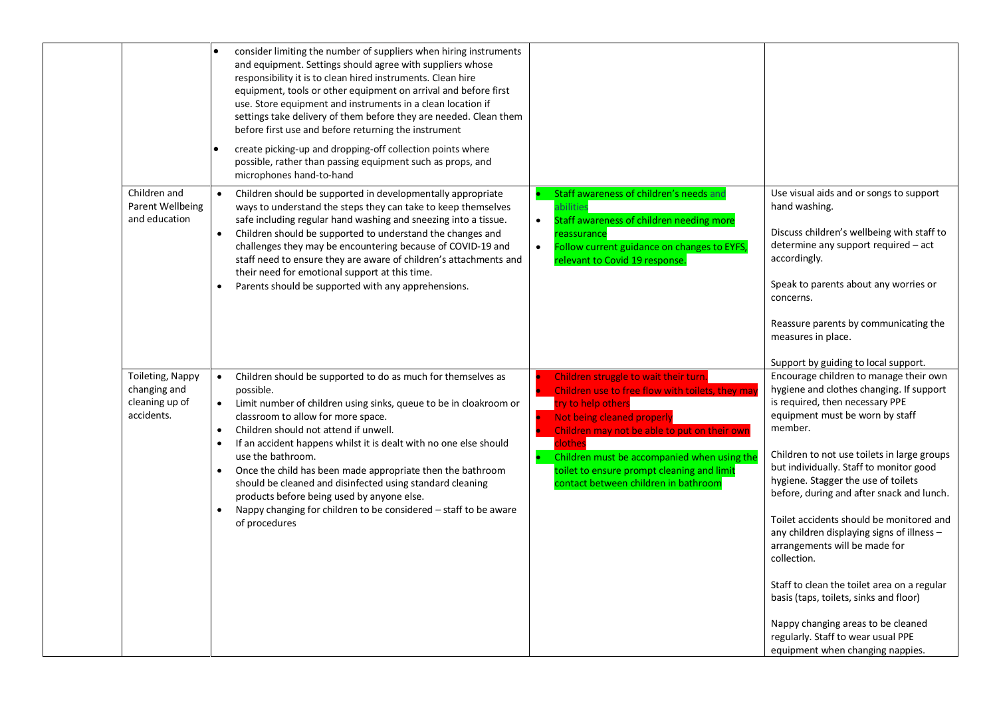|                                                                  | consider limiting the number of suppliers when hiring instruments<br>and equipment. Settings should agree with suppliers whose<br>responsibility it is to clean hired instruments. Clean hire<br>equipment, tools or other equipment on arrival and before first<br>use. Store equipment and instruments in a clean location if<br>settings take delivery of them before they are needed. Clean them<br>before first use and before returning the instrument<br>create picking-up and dropping-off collection points where<br>possible, rather than passing equipment such as props, and<br>microphones hand-to-hand |                                                                                                                                                                                                                                                                                                                                               |                                                                                                                                                                                                                                                                                                                                                                                                                                                                                                                                                                                                                                                                                                      |
|------------------------------------------------------------------|----------------------------------------------------------------------------------------------------------------------------------------------------------------------------------------------------------------------------------------------------------------------------------------------------------------------------------------------------------------------------------------------------------------------------------------------------------------------------------------------------------------------------------------------------------------------------------------------------------------------|-----------------------------------------------------------------------------------------------------------------------------------------------------------------------------------------------------------------------------------------------------------------------------------------------------------------------------------------------|------------------------------------------------------------------------------------------------------------------------------------------------------------------------------------------------------------------------------------------------------------------------------------------------------------------------------------------------------------------------------------------------------------------------------------------------------------------------------------------------------------------------------------------------------------------------------------------------------------------------------------------------------------------------------------------------------|
| Children and<br>Parent Wellbeing<br>and education                | Children should be supported in developmentally appropriate<br>$\bullet$<br>ways to understand the steps they can take to keep themselves<br>safe including regular hand washing and sneezing into a tissue.<br>Children should be supported to understand the changes and<br>$\bullet$<br>challenges they may be encountering because of COVID-19 and<br>staff need to ensure they are aware of children's attachments and<br>their need for emotional support at this time.<br>Parents should be supported with any apprehensions.                                                                                 | Staff awareness of children's needs and<br>abilities<br>Staff awareness of children needing more<br>$\bullet$<br>reassurance<br>Follow current guidance on changes to EYFS,<br>$\bullet$<br>relevant to Covid 19 response.                                                                                                                    | Use visual aids and or songs to support<br>hand washing.<br>Discuss children's wellbeing with staff to<br>determine any support required – act<br>accordingly.<br>Speak to parents about any worries or<br>concerns.<br>Reassure parents by communicating the<br>measures in place.<br>Support by guiding to local support.                                                                                                                                                                                                                                                                                                                                                                          |
| Toileting, Nappy<br>changing and<br>cleaning up of<br>accidents. | Children should be supported to do as much for themselves as<br>possible.<br>Limit number of children using sinks, queue to be in cloakroom or<br>$\bullet$<br>classroom to allow for more space.<br>Children should not attend if unwell.<br>$\bullet$<br>If an accident happens whilst it is dealt with no one else should<br>use the bathroom.<br>Once the child has been made appropriate then the bathroom<br>should be cleaned and disinfected using standard cleaning<br>products before being used by anyone else.<br>Nappy changing for children to be considered - staff to be aware<br>of procedures      | Children struggle to wait their turn.<br>Children use to free flow with toilets, they may<br>try to help others<br>Not being cleaned properly<br>Children may not be able to put on their own<br>clothes<br>Children must be accompanied when using the<br>toilet to ensure prompt cleaning and limit<br>contact between children in bathroom | Encourage children to manage their own<br>hygiene and clothes changing. If support<br>is required, then necessary PPE<br>equipment must be worn by staff<br>member.<br>Children to not use toilets in large groups<br>but individually. Staff to monitor good<br>hygiene. Stagger the use of toilets<br>before, during and after snack and lunch.<br>Toilet accidents should be monitored and<br>any children displaying signs of illness -<br>arrangements will be made for<br>collection.<br>Staff to clean the toilet area on a regular<br>basis (taps, toilets, sinks and floor)<br>Nappy changing areas to be cleaned<br>regularly. Staff to wear usual PPE<br>equipment when changing nappies. |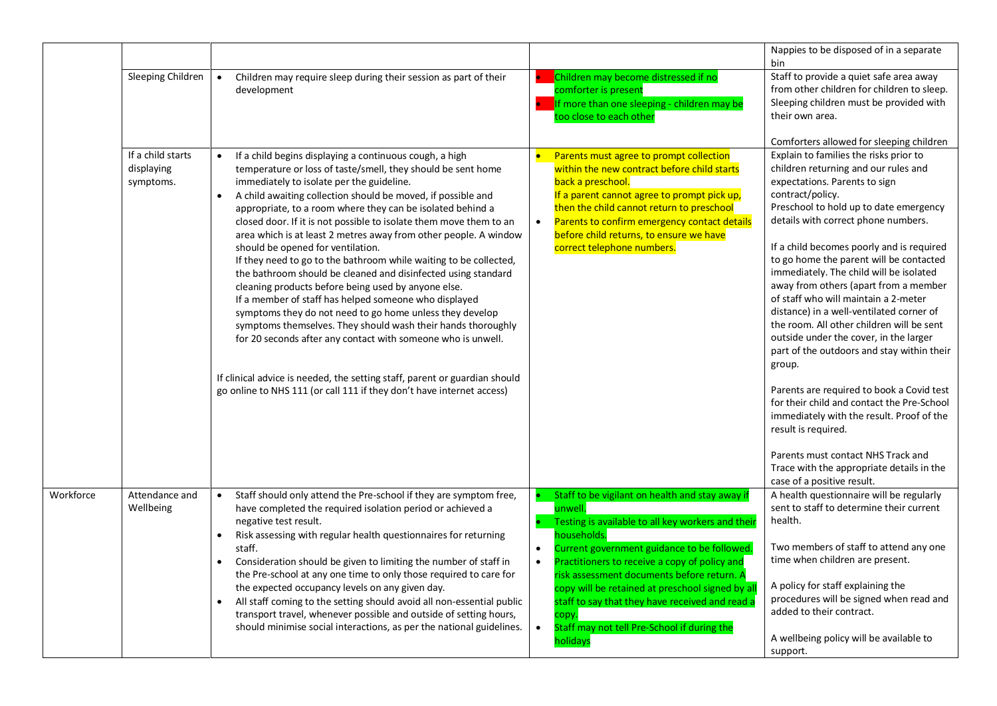|           |                                              |                                                                                                                                                                                                                                                                                                                                                                                                                                                                                                                                                                                                                                                                                                                                                                                                                                                                                                                                                                                                                                                                                            |                                                                                                                                                                                                                                                                                                                                                                                                                                                                                               | Nappies to be disposed of in a separate<br>bin                                                                                                                                                                                                                                                                                                                                                                                                                                                                                                                                                                                                                                                                                                                                                                                                                                                                                                                  |
|-----------|----------------------------------------------|--------------------------------------------------------------------------------------------------------------------------------------------------------------------------------------------------------------------------------------------------------------------------------------------------------------------------------------------------------------------------------------------------------------------------------------------------------------------------------------------------------------------------------------------------------------------------------------------------------------------------------------------------------------------------------------------------------------------------------------------------------------------------------------------------------------------------------------------------------------------------------------------------------------------------------------------------------------------------------------------------------------------------------------------------------------------------------------------|-----------------------------------------------------------------------------------------------------------------------------------------------------------------------------------------------------------------------------------------------------------------------------------------------------------------------------------------------------------------------------------------------------------------------------------------------------------------------------------------------|-----------------------------------------------------------------------------------------------------------------------------------------------------------------------------------------------------------------------------------------------------------------------------------------------------------------------------------------------------------------------------------------------------------------------------------------------------------------------------------------------------------------------------------------------------------------------------------------------------------------------------------------------------------------------------------------------------------------------------------------------------------------------------------------------------------------------------------------------------------------------------------------------------------------------------------------------------------------|
|           | Sleeping Children                            | Children may require sleep during their session as part of their<br>$\bullet$<br>development                                                                                                                                                                                                                                                                                                                                                                                                                                                                                                                                                                                                                                                                                                                                                                                                                                                                                                                                                                                               | Children may become distressed if no<br>comforter is present<br>If more than one sleeping - children may be<br>too close to each other                                                                                                                                                                                                                                                                                                                                                        | Staff to provide a quiet safe area away<br>from other children for children to sleep.<br>Sleeping children must be provided with<br>their own area.                                                                                                                                                                                                                                                                                                                                                                                                                                                                                                                                                                                                                                                                                                                                                                                                             |
|           | If a child starts<br>displaying<br>symptoms. | If a child begins displaying a continuous cough, a high<br>temperature or loss of taste/smell, they should be sent home<br>immediately to isolate per the guideline.<br>A child awaiting collection should be moved, if possible and<br>appropriate, to a room where they can be isolated behind a<br>closed door. If it is not possible to isolate them move them to an<br>area which is at least 2 metres away from other people. A window<br>should be opened for ventilation.<br>If they need to go to the bathroom while waiting to be collected,<br>the bathroom should be cleaned and disinfected using standard<br>cleaning products before being used by anyone else.<br>If a member of staff has helped someone who displayed<br>symptoms they do not need to go home unless they develop<br>symptoms themselves. They should wash their hands thoroughly<br>for 20 seconds after any contact with someone who is unwell.<br>If clinical advice is needed, the setting staff, parent or guardian should<br>go online to NHS 111 (or call 111 if they don't have internet access) | Parents must agree to prompt collection<br>within the new contract before child starts<br>back a preschool.<br>If a parent cannot agree to prompt pick up,<br>then the child cannot return to preschool<br>Parents to confirm emergency contact details<br>$\bullet$<br>before child returns, to ensure we have<br>correct telephone numbers.                                                                                                                                                 | Comforters allowed for sleeping children<br>Explain to families the risks prior to<br>children returning and our rules and<br>expectations. Parents to sign<br>contract/policy.<br>Preschool to hold up to date emergency<br>details with correct phone numbers.<br>If a child becomes poorly and is required<br>to go home the parent will be contacted<br>immediately. The child will be isolated<br>away from others (apart from a member<br>of staff who will maintain a 2-meter<br>distance) in a well-ventilated corner of<br>the room. All other children will be sent<br>outside under the cover, in the larger<br>part of the outdoors and stay within their<br>group.<br>Parents are required to book a Covid test<br>for their child and contact the Pre-School<br>immediately with the result. Proof of the<br>result is required.<br>Parents must contact NHS Track and<br>Trace with the appropriate details in the<br>case of a positive result. |
| Workforce | Attendance and<br>Wellbeing                  | Staff should only attend the Pre-school if they are symptom free,<br>have completed the required isolation period or achieved a<br>negative test result.<br>Risk assessing with regular health questionnaires for returning<br>staff.<br>Consideration should be given to limiting the number of staff in<br>the Pre-school at any one time to only those required to care for<br>the expected occupancy levels on any given day.<br>All staff coming to the setting should avoid all non-essential public<br>transport travel, whenever possible and outside of setting hours,<br>should minimise social interactions, as per the national guidelines.                                                                                                                                                                                                                                                                                                                                                                                                                                    | Staff to be vigilant on health and stay away if<br>unwell.<br>Testing is available to all key workers and their<br>households.<br>Current government guidance to be followed.<br>$\bullet$<br>Practitioners to receive a copy of policy and<br>$\bullet$<br>risk assessment documents before return. A<br>copy will be retained at preschool signed by al<br>staff to say that they have received and read a<br>copy.<br>Staff may not tell Pre-School if during the<br>$\bullet$<br>holidays | A health questionnaire will be regularly<br>sent to staff to determine their current<br>health.<br>Two members of staff to attend any one<br>time when children are present.<br>A policy for staff explaining the<br>procedures will be signed when read and<br>added to their contract.<br>A wellbeing policy will be available to<br>support.                                                                                                                                                                                                                                                                                                                                                                                                                                                                                                                                                                                                                 |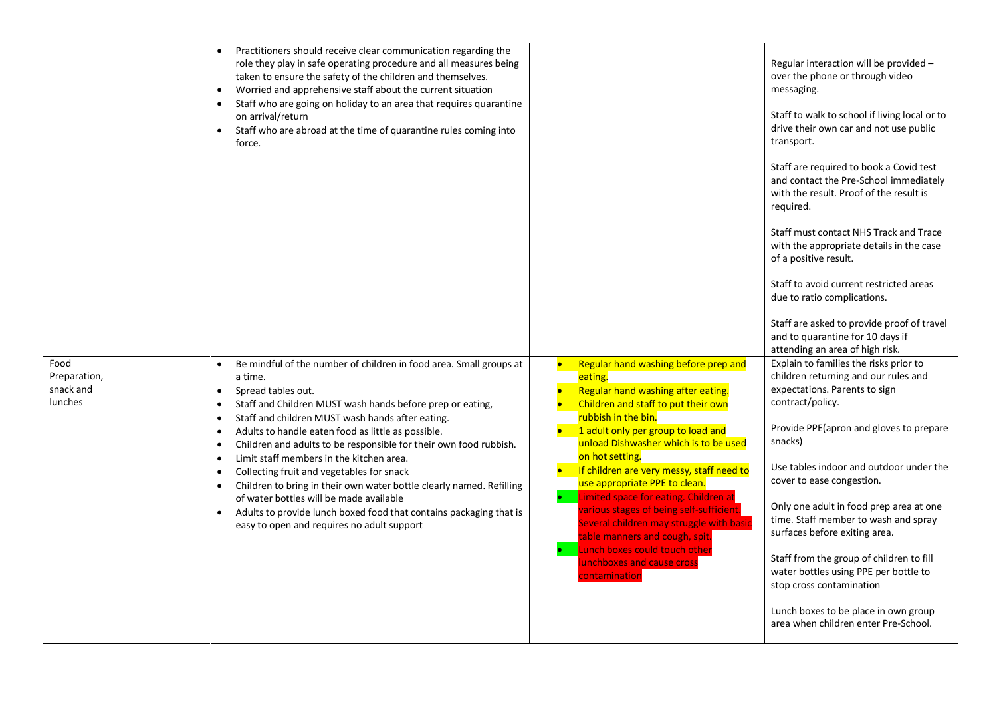|                      | Practitioners should receive clear communication regarding the<br>role they play in safe operating procedure and all measures being<br>taken to ensure the safety of the children and themselves.<br>Worried and apprehensive staff about the current situation<br>$\bullet$<br>Staff who are going on holiday to an area that requires quarantine<br>$\bullet$<br>on arrival/return<br>Staff who are abroad at the time of quarantine rules coming into<br>$\bullet$<br>force. |                                                                                                                                                                 | Regular interaction will be provided -<br>over the phone or through video<br>messaging.<br>Staff to walk to school if living local or to<br>drive their own car and not use public<br>transport.<br>Staff are required to book a Covid test<br>and contact the Pre-School immediately<br>with the result. Proof of the result is<br>required.<br>Staff must contact NHS Track and Trace<br>with the appropriate details in the case<br>of a positive result.<br>Staff to avoid current restricted areas<br>due to ratio complications.<br>Staff are asked to provide proof of travel<br>and to quarantine for 10 days if<br>attending an area of high risk. |
|----------------------|---------------------------------------------------------------------------------------------------------------------------------------------------------------------------------------------------------------------------------------------------------------------------------------------------------------------------------------------------------------------------------------------------------------------------------------------------------------------------------|-----------------------------------------------------------------------------------------------------------------------------------------------------------------|-------------------------------------------------------------------------------------------------------------------------------------------------------------------------------------------------------------------------------------------------------------------------------------------------------------------------------------------------------------------------------------------------------------------------------------------------------------------------------------------------------------------------------------------------------------------------------------------------------------------------------------------------------------|
| Food<br>Preparation, | Be mindful of the number of children in food area. Small groups at<br>$\bullet$<br>a time.                                                                                                                                                                                                                                                                                                                                                                                      | Regular hand washing before prep and<br>$\bullet$<br>eating.                                                                                                    | Explain to families the risks prior to<br>children returning and our rules and                                                                                                                                                                                                                                                                                                                                                                                                                                                                                                                                                                              |
| snack and<br>lunches | Spread tables out.<br>$\bullet$<br>Staff and Children MUST wash hands before prep or eating,<br>$\bullet$<br>Staff and children MUST wash hands after eating.<br>$\bullet$                                                                                                                                                                                                                                                                                                      | Regular hand washing after eating.<br>Children and staff to put their own<br>rubbish in the bin.                                                                | expectations. Parents to sign<br>contract/policy.                                                                                                                                                                                                                                                                                                                                                                                                                                                                                                                                                                                                           |
|                      | Adults to handle eaten food as little as possible.<br>$\bullet$<br>Children and adults to be responsible for their own food rubbish.<br>$\bullet$                                                                                                                                                                                                                                                                                                                               | 1 adult only per group to load and<br>unload Dishwasher which is to be used<br>on hot setting.                                                                  | Provide PPE (apron and gloves to prepare<br>snacks)                                                                                                                                                                                                                                                                                                                                                                                                                                                                                                                                                                                                         |
|                      | Limit staff members in the kitchen area.<br>$\bullet$<br>Collecting fruit and vegetables for snack<br>$\bullet$<br>Children to bring in their own water bottle clearly named. Refilling<br>$\bullet$                                                                                                                                                                                                                                                                            | If children are very messy, staff need to<br>use appropriate PPE to clean.                                                                                      | Use tables indoor and outdoor under the<br>cover to ease congestion.                                                                                                                                                                                                                                                                                                                                                                                                                                                                                                                                                                                        |
|                      | of water bottles will be made available<br>Adults to provide lunch boxed food that contains packaging that is<br>$\bullet$<br>easy to open and requires no adult support                                                                                                                                                                                                                                                                                                        | Limited space for eating. Children at<br>various stages of being self-sufficient.<br>Several children may struggle with basic<br>table manners and cough, spit. | Only one adult in food prep area at one<br>time. Staff member to wash and spray<br>surfaces before exiting area.                                                                                                                                                                                                                                                                                                                                                                                                                                                                                                                                            |
|                      |                                                                                                                                                                                                                                                                                                                                                                                                                                                                                 | Lunch boxes could touch other<br>lunchboxes and cause cross<br><b>contamination</b>                                                                             | Staff from the group of children to fill<br>water bottles using PPE per bottle to<br>stop cross contamination                                                                                                                                                                                                                                                                                                                                                                                                                                                                                                                                               |
|                      |                                                                                                                                                                                                                                                                                                                                                                                                                                                                                 |                                                                                                                                                                 | Lunch boxes to be place in own group<br>area when children enter Pre-School.                                                                                                                                                                                                                                                                                                                                                                                                                                                                                                                                                                                |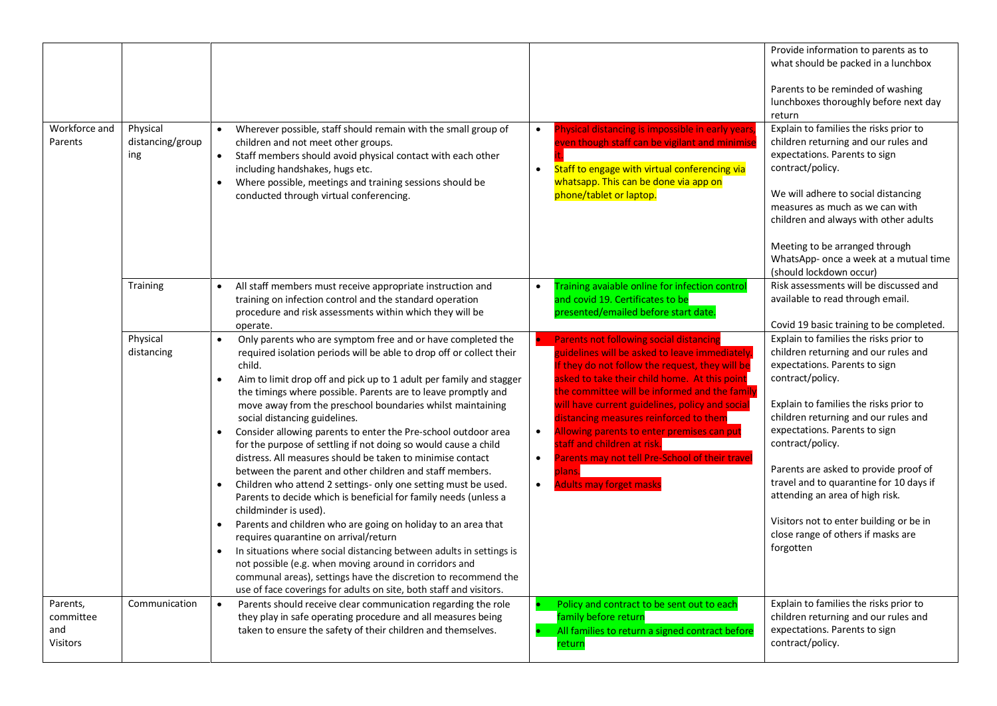| Workforce and<br>Parents                        | Physical<br>distancing/group<br>ing | Wherever possible, staff should remain with the small group of<br>children and not meet other groups.<br>Staff members should avoid physical contact with each other<br>including handshakes, hugs etc.<br>Where possible, meetings and training sessions should be<br>conducted through virtual conferencing.                                                                                                                                                                                                                                                                                                                                                                                                                                                                                                                                                                                                                                                                                                                                                                                                                                                                                                                               | Physical distancing is impossible in early years<br>$\bullet$<br>even though staff can be vigilant and minimise<br>Staff to engage with virtual conferencing via<br>$\bullet$<br>whatsapp. This can be done via app on<br>phone/tablet or laptop.                                                                                                                                                                                                                                                                                                                    | Provide information to parents as to<br>what should be packed in a lunchbox<br>Parents to be reminded of washing<br>lunchboxes thoroughly before next day<br>return<br>Explain to families the risks prior to<br>children returning and our rules and<br>expectations. Parents to sign<br>contract/policy.<br>We will adhere to social distancing<br>measures as much as we can with<br>children and always with other adults<br>Meeting to be arranged through                                 |
|-------------------------------------------------|-------------------------------------|----------------------------------------------------------------------------------------------------------------------------------------------------------------------------------------------------------------------------------------------------------------------------------------------------------------------------------------------------------------------------------------------------------------------------------------------------------------------------------------------------------------------------------------------------------------------------------------------------------------------------------------------------------------------------------------------------------------------------------------------------------------------------------------------------------------------------------------------------------------------------------------------------------------------------------------------------------------------------------------------------------------------------------------------------------------------------------------------------------------------------------------------------------------------------------------------------------------------------------------------|----------------------------------------------------------------------------------------------------------------------------------------------------------------------------------------------------------------------------------------------------------------------------------------------------------------------------------------------------------------------------------------------------------------------------------------------------------------------------------------------------------------------------------------------------------------------|-------------------------------------------------------------------------------------------------------------------------------------------------------------------------------------------------------------------------------------------------------------------------------------------------------------------------------------------------------------------------------------------------------------------------------------------------------------------------------------------------|
|                                                 | Training                            | All staff members must receive appropriate instruction and<br>$\bullet$<br>training on infection control and the standard operation<br>procedure and risk assessments within which they will be<br>operate.                                                                                                                                                                                                                                                                                                                                                                                                                                                                                                                                                                                                                                                                                                                                                                                                                                                                                                                                                                                                                                  | Training avaiable online for infection control<br>$\bullet$<br>and covid 19. Certificates to be<br>presented/emailed before start date.                                                                                                                                                                                                                                                                                                                                                                                                                              | WhatsApp- once a week at a mutual time<br>(should lockdown occur)<br>Risk assessments will be discussed and<br>available to read through email.<br>Covid 19 basic training to be completed.                                                                                                                                                                                                                                                                                                     |
|                                                 | Physical<br>distancing              | Only parents who are symptom free and or have completed the<br>required isolation periods will be able to drop off or collect their<br>child.<br>Aim to limit drop off and pick up to 1 adult per family and stagger<br>$\bullet$<br>the timings where possible. Parents are to leave promptly and<br>move away from the preschool boundaries whilst maintaining<br>social distancing guidelines.<br>Consider allowing parents to enter the Pre-school outdoor area<br>$\bullet$<br>for the purpose of settling if not doing so would cause a child<br>distress. All measures should be taken to minimise contact<br>between the parent and other children and staff members.<br>Children who attend 2 settings- only one setting must be used.<br>Parents to decide which is beneficial for family needs (unless a<br>childminder is used).<br>Parents and children who are going on holiday to an area that<br>$\bullet$<br>requires quarantine on arrival/return<br>In situations where social distancing between adults in settings is<br>not possible (e.g. when moving around in corridors and<br>communal areas), settings have the discretion to recommend the<br>use of face coverings for adults on site, both staff and visitors. | <b>Parents not following social distancing</b><br>guidelines will be asked to leave immediately.<br>If they do not follow the request, they will be<br>asked to take their child home. At this point<br>the committee will be informed and the family<br>will have current guidelines, policy and social<br>distancing measures reinforced to them<br>Allowing parents to enter premises can put<br>$\bullet$<br>staff and children at risk.<br>Parents may not tell Pre-School of their trave<br>$\bullet$<br>plans.<br><b>Adults may forget masks</b><br>$\bullet$ | Explain to families the risks prior to<br>children returning and our rules and<br>expectations. Parents to sign<br>contract/policy.<br>Explain to families the risks prior to<br>children returning and our rules and<br>expectations. Parents to sign<br>contract/policy.<br>Parents are asked to provide proof of<br>travel and to quarantine for 10 days if<br>attending an area of high risk.<br>Visitors not to enter building or be in<br>close range of others if masks are<br>forgotten |
| Parents,<br>committee<br>and<br><b>Visitors</b> | Communication                       | Parents should receive clear communication regarding the role<br>$\bullet$<br>they play in safe operating procedure and all measures being<br>taken to ensure the safety of their children and themselves.                                                                                                                                                                                                                                                                                                                                                                                                                                                                                                                                                                                                                                                                                                                                                                                                                                                                                                                                                                                                                                   | Policy and contract to be sent out to each<br>family before return<br>All families to return a signed contract before<br>return                                                                                                                                                                                                                                                                                                                                                                                                                                      | Explain to families the risks prior to<br>children returning and our rules and<br>expectations. Parents to sign<br>contract/policy.                                                                                                                                                                                                                                                                                                                                                             |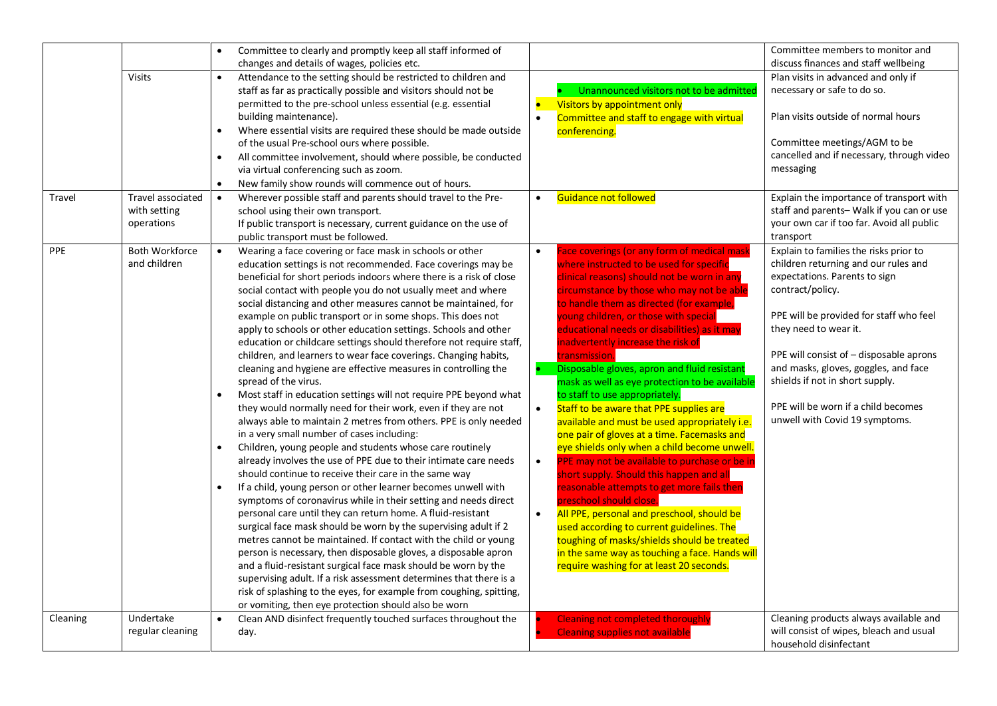|            |                       | $\bullet$ | Committee to clearly and promptly keep all staff informed of                                                                           |           |                                                                                    | Committee members to monitor and                                          |
|------------|-----------------------|-----------|----------------------------------------------------------------------------------------------------------------------------------------|-----------|------------------------------------------------------------------------------------|---------------------------------------------------------------------------|
|            |                       |           | changes and details of wages, policies etc.                                                                                            |           |                                                                                    | discuss finances and staff wellbeing                                      |
|            | <b>Visits</b>         | $\bullet$ | Attendance to the setting should be restricted to children and                                                                         |           |                                                                                    | Plan visits in advanced and only if                                       |
|            |                       |           | staff as far as practically possible and visitors should not be                                                                        |           | Unannounced visitors not to be admitted                                            | necessary or safe to do so.                                               |
|            |                       |           | permitted to the pre-school unless essential (e.g. essential                                                                           | $\bullet$ | Visitors by appointment only                                                       |                                                                           |
|            |                       |           | building maintenance).                                                                                                                 | $\bullet$ | Committee and staff to engage with virtual                                         | Plan visits outside of normal hours                                       |
|            |                       | $\bullet$ | Where essential visits are required these should be made outside                                                                       |           | conferencing.                                                                      |                                                                           |
|            |                       |           | of the usual Pre-school ours where possible.                                                                                           |           |                                                                                    | Committee meetings/AGM to be<br>cancelled and if necessary, through video |
|            |                       | $\bullet$ | All committee involvement, should where possible, be conducted                                                                         |           |                                                                                    |                                                                           |
|            |                       |           | via virtual conferencing such as zoom.                                                                                                 |           |                                                                                    | messaging                                                                 |
|            |                       | $\bullet$ | New family show rounds will commence out of hours.                                                                                     |           |                                                                                    |                                                                           |
| Travel     | Travel associated     | $\bullet$ | Wherever possible staff and parents should travel to the Pre-                                                                          | $\bullet$ | Guidance not followed                                                              | Explain the importance of transport with                                  |
|            | with setting          |           | school using their own transport.                                                                                                      |           |                                                                                    | staff and parents-Walk if you can or use                                  |
|            | operations            |           | If public transport is necessary, current guidance on the use of                                                                       |           |                                                                                    | your own car if too far. Avoid all public                                 |
|            |                       |           | public transport must be followed.                                                                                                     |           |                                                                                    | transport                                                                 |
| <b>PPE</b> | <b>Both Workforce</b> | $\bullet$ | Wearing a face covering or face mask in schools or other                                                                               | $\bullet$ | Face coverings (or any form of medical mask                                        | Explain to families the risks prior to                                    |
|            | and children          |           | education settings is not recommended. Face coverings may be                                                                           |           | where instructed to be used for specific                                           | children returning and our rules and                                      |
|            |                       |           | beneficial for short periods indoors where there is a risk of close                                                                    |           | clinical reasons) should not be worn in any                                        | expectations. Parents to sign                                             |
|            |                       |           | social contact with people you do not usually meet and where                                                                           |           | circumstance by those who may not be able                                          | contract/policy.                                                          |
|            |                       |           | social distancing and other measures cannot be maintained, for                                                                         |           | to handle them as directed (for example,                                           |                                                                           |
|            |                       |           | example on public transport or in some shops. This does not                                                                            |           | young children, or those with special                                              | PPE will be provided for staff who feel<br>they need to wear it.          |
|            |                       |           | apply to schools or other education settings. Schools and other<br>education or childcare settings should therefore not require staff, |           | educational needs or disabilities) as it may<br>inadvertently increase the risk of |                                                                           |
|            |                       |           | children, and learners to wear face coverings. Changing habits,                                                                        |           | transmission.                                                                      | PPE will consist of - disposable aprons                                   |
|            |                       |           | cleaning and hygiene are effective measures in controlling the                                                                         |           | Disposable gloves, apron and fluid resistant                                       | and masks, gloves, goggles, and face                                      |
|            |                       |           | spread of the virus.                                                                                                                   |           | mask as well as eye protection to be available                                     | shields if not in short supply.                                           |
|            |                       | $\bullet$ | Most staff in education settings will not require PPE beyond what                                                                      |           | to staff to use appropriately.                                                     |                                                                           |
|            |                       |           | they would normally need for their work, even if they are not                                                                          | $\bullet$ | Staff to be aware that PPE supplies are                                            | PPE will be worn if a child becomes                                       |
|            |                       |           | always able to maintain 2 metres from others. PPE is only needed                                                                       |           | available and must be used appropriately i.e.                                      | unwell with Covid 19 symptoms.                                            |
|            |                       |           | in a very small number of cases including:                                                                                             |           | one pair of gloves at a time. Facemasks and                                        |                                                                           |
|            |                       | $\bullet$ | Children, young people and students whose care routinely                                                                               |           | eye shields only when a child become unwell.                                       |                                                                           |
|            |                       |           | already involves the use of PPE due to their intimate care needs                                                                       | $\bullet$ | PPE may not be available to purchase or be in                                      |                                                                           |
|            |                       |           | should continue to receive their care in the same way                                                                                  |           | short supply. Should this happen and all                                           |                                                                           |
|            |                       | $\bullet$ | If a child, young person or other learner becomes unwell with                                                                          |           | reasonable attempts to get more fails then                                         |                                                                           |
|            |                       |           | symptoms of coronavirus while in their setting and needs direct                                                                        |           | preschool should close.                                                            |                                                                           |
|            |                       |           | personal care until they can return home. A fluid-resistant                                                                            | $\bullet$ | All PPE, personal and preschool, should be                                         |                                                                           |
|            |                       |           | surgical face mask should be worn by the supervising adult if 2                                                                        |           | used according to current guidelines. The                                          |                                                                           |
|            |                       |           | metres cannot be maintained. If contact with the child or young                                                                        |           | toughing of masks/shields should be treated                                        |                                                                           |
|            |                       |           | person is necessary, then disposable gloves, a disposable apron                                                                        |           | in the same way as touching a face. Hands will                                     |                                                                           |
|            |                       |           | and a fluid-resistant surgical face mask should be worn by the                                                                         |           | require washing for at least 20 seconds.                                           |                                                                           |
|            |                       |           | supervising adult. If a risk assessment determines that there is a                                                                     |           |                                                                                    |                                                                           |
|            |                       |           | risk of splashing to the eyes, for example from coughing, spitting,                                                                    |           |                                                                                    |                                                                           |
|            |                       |           | or vomiting, then eye protection should also be worn                                                                                   |           |                                                                                    |                                                                           |
| Cleaning   | Undertake             |           | Clean AND disinfect frequently touched surfaces throughout the                                                                         |           | <b>Cleaning not completed thoroughly</b>                                           | Cleaning products always available and                                    |
|            | regular cleaning      |           | day.                                                                                                                                   |           | <b>Cleaning supplies not available</b>                                             | will consist of wipes, bleach and usual                                   |
|            |                       |           |                                                                                                                                        |           |                                                                                    | household disinfectant                                                    |